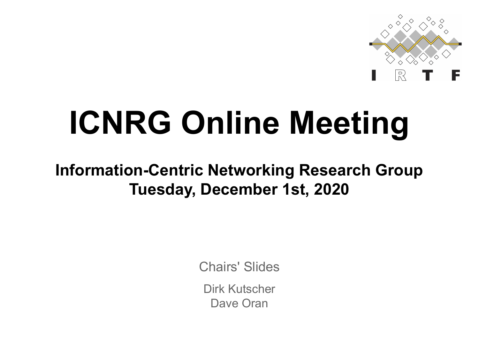

# **ICNRG Online Meeting**

#### **Information-Centric Networking Research Group Tuesday, December 1st, 2020**

Chairs' Slides

Dirk Kutscher Dave Oran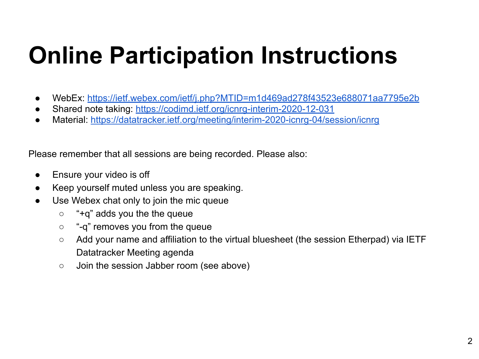## **Online Participation Instructions**

- WebEx:<https://ietf.webex.com/ietf/j.php?MTID=m1d469ad278f43523e688071aa7795e2b>
- Shared note taking: <https://codimd.ietf.org/icnrg-interim-2020-12-031>
- Material:<https://datatracker.ietf.org/meeting/interim-2020-icnrg-04/session/icnrg>

Please remember that all sessions are being recorded. Please also:

- **•** Ensure your video is off
- Keep yourself muted unless you are speaking.
- Use Webex chat only to join the mic queue
	- $\circ$  "+q" adds you the the queue
	- "-q" removes you from the queue
	- Add your name and affiliation to the virtual bluesheet (the session Etherpad) via IETF Datatracker Meeting agenda
	- Join the session Jabber room (see above)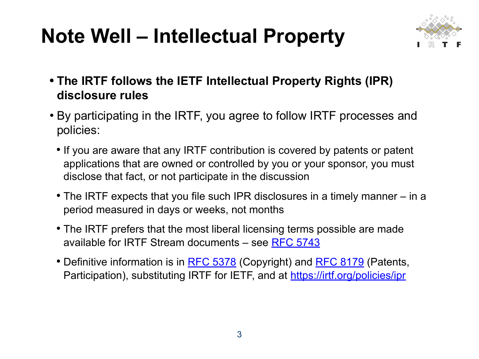### **Note Well – Intellectual Property**



- **• The IRTF follows the IETF Intellectual Property Rights (IPR) disclosure rules**
- By participating in the IRTF, you agree to follow IRTF processes and policies:
	- If you are aware that any IRTF contribution is covered by patents or patent applications that are owned or controlled by you or your sponsor, you must disclose that fact, or not participate in the discussion
	- The IRTF expects that you file such IPR disclosures in a timely manner in a period measured in days or weeks, not months
	- The IRTF prefers that the most liberal licensing terms possible are made available for IRTF Stream documents – see [RFC 5743](https://www.rfc-editor.org/info/rfc5743)
	- Definitive information is in **RFC 5378** (Copyright) and **RFC 8179** (Patents, Participation), substituting IRTF for IETF, and at <https://irtf.org/policies/ipr>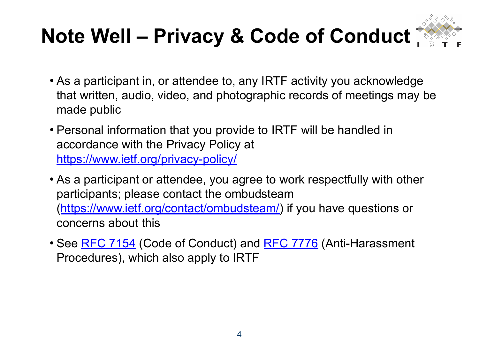### **Note Well – Privacy & Code of Conduct**



- As a participant in, or attendee to, any IRTF activity you acknowledge that written, audio, video, and photographic records of meetings may be made public
- Personal information that you provide to IRTF will be handled in accordance with the Privacy Policy at <https://www.ietf.org/privacy-policy/>
- As a participant or attendee, you agree to work respectfully with other participants; please contact the ombudsteam [\(https://www.ietf.org/contact/ombudsteam/](https://www.ietf.org/contact/ombudsteam/)) if you have questions or concerns about this
- See [RFC 7154](https://www.rfc-editor.org/info/rfc7154) (Code of Conduct) and [RFC 7776](https://www.rfc-editor.org/info/rfc7776) (Anti-Harassment Procedures), which also apply to IRTF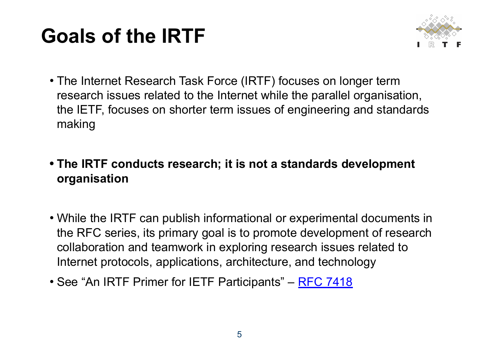### **Goals of the IRTF**



• The Internet Research Task Force (IRTF) focuses on longer term research issues related to the Internet while the parallel organisation, the IETF, focuses on shorter term issues of engineering and standards making

#### **• The IRTF conducts research; it is not a standards development organisation**

- While the IRTF can publish informational or experimental documents in the RFC series, its primary goal is to promote development of research collaboration and teamwork in exploring research issues related to Internet protocols, applications, architecture, and technology
- See "An IRTF Primer for IETF Participants" [RFC 7418](https://www.rfc-editor.org/rfc/rfc7418.html)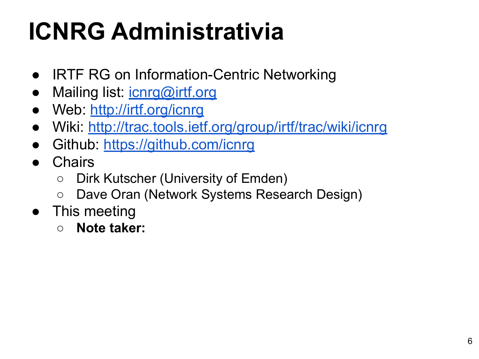# **ICNRG Administrativia**

- IRTF RG on Information-Centric Networking
- Mailing list: *[icnrg@irtf.org](mailto:icnrg@irtf.org)*
- Web: <http://irtf.org/icnrg>
- Wiki: <http://trac.tools.ietf.org/group/irtf/trac/wiki/icnrg>
- Github: <https://github.com/icnrg>
- Chairs
	- Dirk Kutscher (University of Emden)
	- Dave Oran (Network Systems Research Design)
- This meeting
	- **○ Note taker:**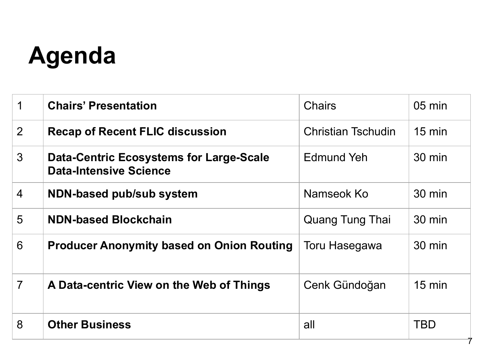## **Agenda**

| 1              | <b>Chairs' Presentation</b>                                                     | <b>Chairs</b>             | $05 \text{ min}$ |
|----------------|---------------------------------------------------------------------------------|---------------------------|------------------|
| $\overline{2}$ | <b>Recap of Recent FLIC discussion</b>                                          | <b>Christian Tschudin</b> | $15 \text{ min}$ |
| $\mathfrak{Z}$ | <b>Data-Centric Ecosystems for Large-Scale</b><br><b>Data-Intensive Science</b> | Edmund Yeh                | $30 \text{ min}$ |
| $\overline{4}$ | NDN-based pub/sub system                                                        | Namseok Ko                | $30 \text{ min}$ |
| 5              | <b>NDN-based Blockchain</b>                                                     | Quang Tung Thai           | $30 \text{ min}$ |
| 6              | <b>Producer Anonymity based on Onion Routing</b>                                | Toru Hasegawa             | 30 min           |
| $\overline{7}$ | A Data-centric View on the Web of Things                                        | Cenk Gündoğan             | $15 \text{ min}$ |
| 8              | <b>Other Business</b>                                                           | all                       | <b>TBD</b>       |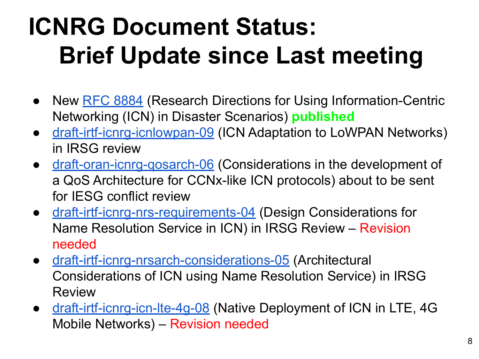# **ICNRG Document Status: Brief Update since Last meeting**

- New [RFC 8884](https://datatracker.ietf.org/doc/rfc8884/) (Research Directions for Using Information-Centric Networking (ICN) in Disaster Scenarios) **published**
- [draft-irtf-icnrg-icnlowpan-09](https://datatracker.ietf.org/doc/draft-irtf-icnrg-icnlowpan/) (ICN Adaptation to LoWPAN Networks) in IRSG review
- draft-oran-icnrg-gosarch-06 (Considerations in the development of a QoS Architecture for CCNx-like ICN protocols) about to be sent for IESG conflict review
- [draft-irtf-icnrg-nrs-requirements-04](https://datatracker.ietf.org/doc/draft-irtf-icnrg-nrs-requirements/) (Design Considerations for Name Resolution Service in ICN) in IRSG Review – Revision needed
- [draft-irtf-icnrg-nrsarch-considerations-05](https://datatracker.ietf.org/doc/draft-irtf-icnrg-nrsarch-considerations/) (Architectural Considerations of ICN using Name Resolution Service) in IRSG Review
- [draft-irtf-icnrg-icn-lte-4g-08](https://datatracker.ietf.org/doc/draft-irtf-icnrg-icn-lte-4g/) (Native Deployment of ICN in LTE, 4G Mobile Networks) – Revision needed